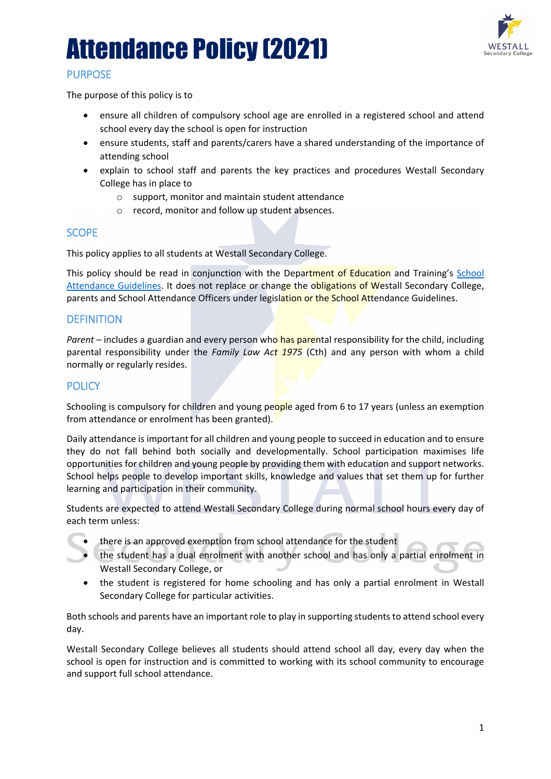

# **PURPOSE**

The purpose of this policy is to

- ensure all children of compulsory school age are enrolled in a registered school and attend school every day the school is open for instruction
- ensure students, staff and parents/carers have a shared understanding of the importance of attending school
- explain to school staff and parents the key practices and procedures Westall Secondary College has in place to
	- o support, monitor and maintain student attendance
	- o record, monitor and follow up student absences.

# **SCOPE**

This policy applies to all students at Westall Secondary College.

This policy should be read in conjunction with the Department of Education and Training's School [Attendance Guidelines.](https://www2.education.vic.gov.au/pal/attendance/guidance) It does not replace or change the obligations of Westall Secondary College, parents and School Attendance Officers under legislation or the School Attendance Guidelines.

# **DEFINITION**

*Parent* – includes a guardian and every person who has parental responsibility for the child, including parental responsibility under the *Family Law Act 1975* (Cth) and any person with whom a child normally or regularly resides.

# **POLICY**

Schooling is compulsory for children and young people aged from 6 to 17 years (unless an exemption from attendance or enrolment has been granted).

Daily attendance is important for all children and young people to succeed in education and to ensure they do not fall behind both socially and developmentally. School participation maximises life opportunities for children and young people by providing them with education and support networks. School helps people to develop important skills, knowledge and values that set them up for further learning and participation in their community.

Students are expected to attend Westall Secondary College during normal school hours every day of each term unless:

- there is an approved exemption from school attendance for the student
- the student has a dual enrolment with another school and has only a partial enrolment in Westall Secondary College, or
- the student is registered for home schooling and has only a partial enrolment in Westall Secondary College for particular activities.

Both schools and parents have an important role to play in supporting students to attend school every day.

Westall Secondary College believes all students should attend school all day, every day when the school is open for instruction and is committed to working with its school community to encourage and support full school attendance.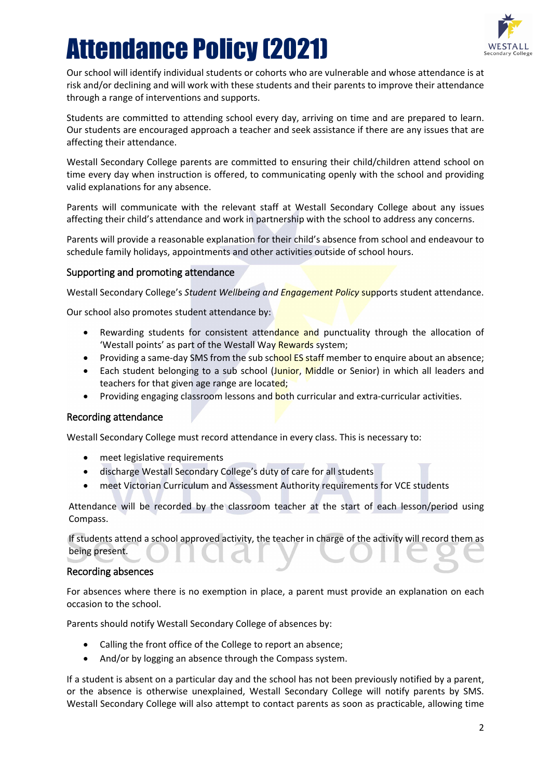

Our school will identify individual students or cohorts who are vulnerable and whose attendance is at risk and/or declining and will work with these students and their parents to improve their attendance through a range of interventions and supports.

Students are committed to attending school every day, arriving on time and are prepared to learn. Our students are encouraged approach a teacher and seek assistance if there are any issues that are affecting their attendance.

Westall Secondary College parents are committed to ensuring their child/children attend school on time every day when instruction is offered, to communicating openly with the school and providing valid explanations for any absence.

Parents will communicate with the relevant staff at Westall Secondary College about any issues affecting their child's attendance and work in partnership with the school to address any concerns.

Parents will provide a reasonable explanation for their child's absence from school and endeavour to schedule family holidays, appointments and other activities outside of school hours.

## Supporting and promoting attendance

Westall Secondary College's *Student Wellbeing and Engagement Policy* supports student attendance.

Our school also promotes student attendance by:

- Rewarding students for consistent attendance and punctuality through the allocation of 'Westall points' as part of the Westall Way Rewards system;
- Providing a same-day SMS from the sub school ES staff member to enquire about an absence;
- Each student belonging to a sub school (Junior, Middle or Senior) in which all leaders and teachers for that given age range are located;
- Providing engaging classroom lessons and **both curricular and extra-curricular activities.**

## Recording attendance

Westall Secondary College must record attendance in every class. This is necessary to:

- meet legislative requirements
- discharge Westall Secondary College's duty of care for all students
- meet Victorian Curriculum and Assessment Authority requirements for VCE students

Attendance will be recorded by the classroom teacher at the start of each lesson/period using Compass.

If students attend a school approved activity, the teacher in charge of the activity will record them as being present.

#### Recording absences

For absences where there is no exemption in place, a parent must provide an explanation on each occasion to the school.

Parents should notify Westall Secondary College of absences by:

- Calling the front office of the College to report an absence;
- And/or by logging an absence through the Compass system.

If a student is absent on a particular day and the school has not been previously notified by a parent, or the absence is otherwise unexplained, Westall Secondary College will notify parents by SMS. Westall Secondary College will also attempt to contact parents as soon as practicable, allowing time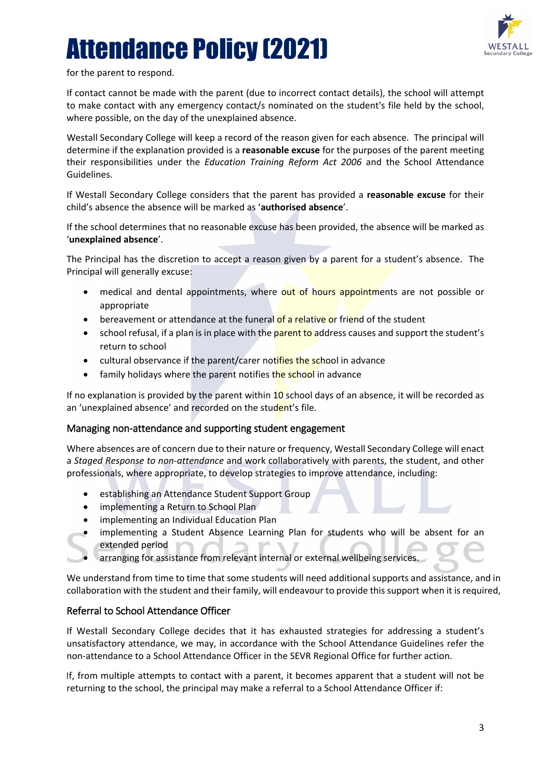

for the parent to respond.

If contact cannot be made with the parent (due to incorrect contact details), the school will attempt to make contact with any emergency contact/s nominated on the student's file held by the school, where possible, on the day of the unexplained absence.

Westall Secondary College will keep a record of the reason given for each absence. The principal will determine if the explanation provided is a **reasonable excuse** for the purposes of the parent meeting their responsibilities under the *Education Training Reform Act 2006* and the School Attendance Guidelines.

If Westall Secondary College considers that the parent has provided a **reasonable excuse** for their child's absence the absence will be marked as '**authorised absence**'.

If the school determines that no reasonable excuse has been provided, the absence will be marked as '**unexplained absence**'.

The Principal has the discretion to accept a reason given by a parent for a student's absence. The Principal will generally excuse:

- medical and dental appointments, where out of hours appointments are not possible or appropriate
- bereavement or attendance at the funeral of a relative or friend of the student
- school refusal, if a plan is in place with the parent to address causes and support the student's return to school
- cultural observance if the parent/carer notifies the school in advance
- family holidays where the parent notifies the school in advance

If no explanation is provided by the parent within  $10$  school days of an absence, it will be recorded as an 'unexplained absence' and recorded on the student's file.

## Managing non-attendance and supporting student engagement

Where absences are of concern due to their nature or frequency, Westall Secondary College will enact a *Staged Response to non-attendance* and work collaboratively with parents, the student, and other professionals, where appropriate, to develop strategies to improve attendance, including:

- establishing an Attendance Student Support Group
- implementing a Return to School Plan
- implementing an Individual Education Plan
- implementing a Student Absence Learning Plan for students who will be absent for an extended period
	- arranging for assistance from relevant internal or external wellbeing services.

We understand from time to time that some students will need additional supports and assistance, and in collaboration with the student and their family, will endeavour to provide this support when it is required,

## Referral to School Attendance Officer

If Westall Secondary College decides that it has exhausted strategies for addressing a student's unsatisfactory attendance, we may, in accordance with the School Attendance Guidelines refer the non-attendance to a School Attendance Officer in the SEVR Regional Office for further action.

If, from multiple attempts to contact with a parent, it becomes apparent that a student will not be returning to the school, the principal may make a referral to a School Attendance Officer if: